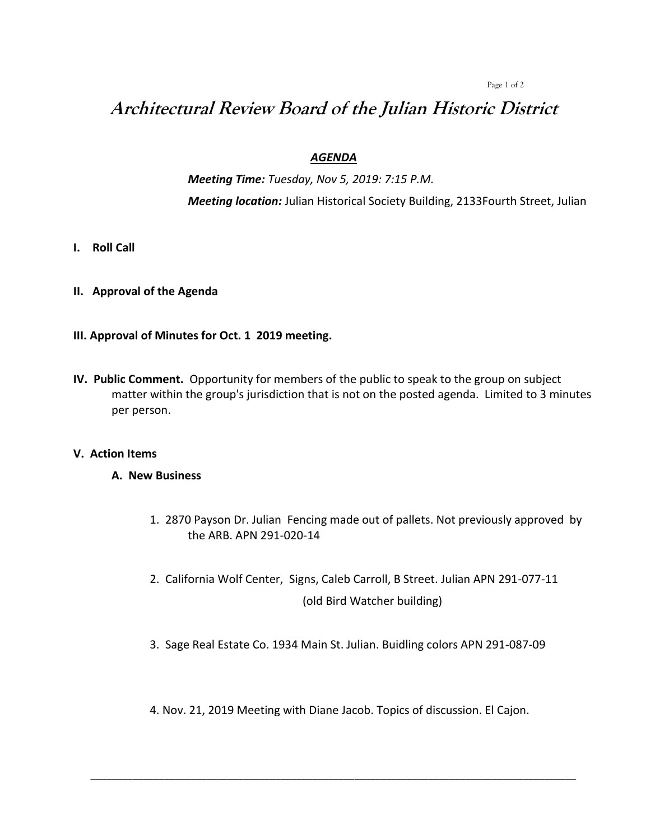#### Page 1 of 2

# **Architectural Review Board of the Julian Historic District**

# *AGENDA*

*Meeting Time: Tuesday, Nov 5, 2019: 7:15 P.M. Meeting location:* Julian Historical Society Building, 2133Fourth Street, Julian

- **I. Roll Call**
- **II. Approval of the Agenda**

# **III. Approval of Minutes for Oct. 1 2019 meeting.**

**IV. Public Comment.** Opportunity for members of the public to speak to the group on subject matter within the group's jurisdiction that is not on the posted agenda. Limited to 3 minutes per person.

## **V. Action Items**

## **A. New Business**

- 1. 2870 Payson Dr. Julian Fencing made out of pallets. Not previously approved by the ARB. APN 291-020-14
- 2. California Wolf Center, Signs, Caleb Carroll, B Street. Julian APN 291-077-11 (old Bird Watcher building)
- 3. Sage Real Estate Co. 1934 Main St. Julian. Buidling colors APN 291-087-09
- 4. Nov. 21, 2019 Meeting with Diane Jacob. Topics of discussion. El Cajon.

\_\_\_\_\_\_\_\_\_\_\_\_\_\_\_\_\_\_\_\_\_\_\_\_\_\_\_\_\_\_\_\_\_\_\_\_\_\_\_\_\_\_\_\_\_\_\_\_\_\_\_\_\_\_\_\_\_\_\_\_\_\_\_\_\_\_\_\_\_\_\_\_\_\_\_\_\_\_\_\_\_\_\_\_\_\_\_\_\_\_\_\_